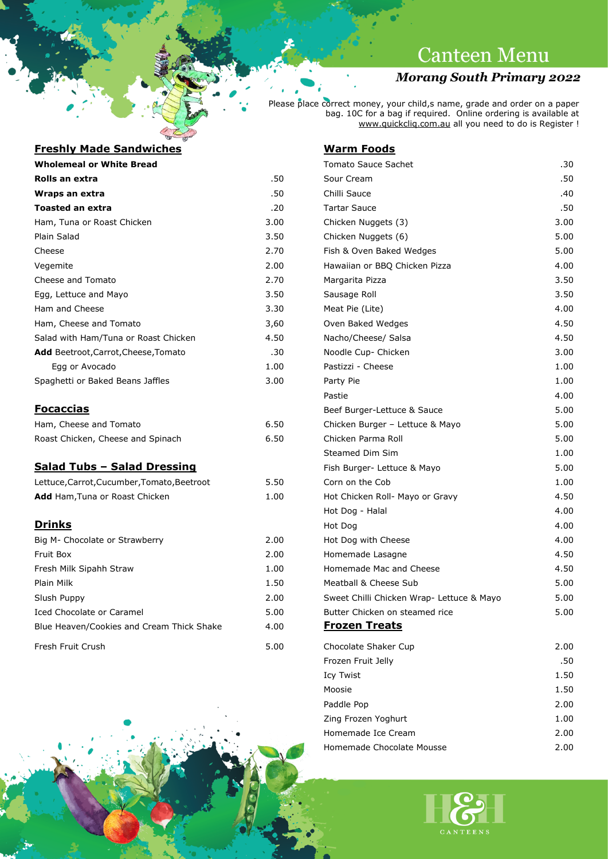## **Canteen Menu**

## *Morang South Primary 2022*

Please place correct money, your child,s name, grade and order on a paper bag. 10C for a bag if required. Online ordering is available at [www.quickcliq.com.au](http://www.quickcliq.com.au/) all you need to do is Register !

### **Freshly Made Sandwiches Warm Foods**

| <b>FIESIIIV MAUE SAIIUWILIIES</b>           |                      |
|---------------------------------------------|----------------------|
| <b>Wholemeal or White Bread</b>             |                      |
| Rolls an extra                              |                      |
| Wraps an extra                              |                      |
| <b>Toasted an extra</b>                     |                      |
| Ham, Tuna or Roast Chicken                  | 3.0                  |
| Plain Salad                                 | 3.                   |
| Cheese                                      | 2.1                  |
| Vegemite                                    | 2.0                  |
| Cheese and Tomato                           | 2.                   |
| Egg, Lettuce and Mayo                       | 3.                   |
| Ham and Cheese                              | 3.3                  |
| Ham, Cheese and Tomato                      | 3,                   |
| Salad with Ham/Tuna or Roast Chicken        | 4.                   |
| <b>Add</b> Beetroot, Carrot, Cheese, Tomato | $\ddot{\phantom{a}}$ |
| Egg or Avocado                              | 1.0                  |
| Spaghetti or Baked Beans Jaffles            | 3.0                  |

| Ham, Cheese and Tomato            | 6.5 |
|-----------------------------------|-----|
| Roast Chicken, Cheese and Spinach | 6.5 |

## **Salad Tubs - Salad Dressing**

| Lettuce, Carrot, Cucumber, Tomato, Beetroot | 5.50 |
|---------------------------------------------|------|
| <b>Add</b> Ham, Tuna or Roast Chicken       | 1.00 |

| Big M- Chocolate or Strawberry            | 2.00 | Hot Dog with Chee        |
|-------------------------------------------|------|--------------------------|
| Fruit Box                                 | 2.00 | Homemade Lasagn          |
| Fresh Milk Sipahh Straw                   | 1.00 | Homemade Mac an          |
| Plain Milk                                | 1.50 | Meatball & Cheese        |
| Slush Puppy                               | 2.00 | Sweet Chilli Chicke      |
| Iced Chocolate or Caramel                 | 5.00 | <b>Butter Chicken on</b> |
| Blue Heaven/Cookies and Cream Thick Shake | 4.00 | <b>Frozen Treats</b>     |
| Fresh Fruit Crush                         | 5 NO | Chocolate Shaker (       |

| <u>Fresniy mage Sangwicnes</u>              |      | <u>warm roogs</u>                         |      |
|---------------------------------------------|------|-------------------------------------------|------|
| <b>Wholemeal or White Bread</b>             |      | <b>Tomato Sauce Sachet</b>                | .30  |
| Rolls an extra                              | .50  | Sour Cream                                | .50  |
| Wraps an extra                              | .50  | Chilli Sauce                              | .40  |
| <b>Toasted an extra</b>                     | .20  | <b>Tartar Sauce</b>                       | .50  |
| Ham, Tuna or Roast Chicken                  | 3.00 | Chicken Nuggets (3)                       | 3.00 |
| Plain Salad                                 | 3.50 | Chicken Nuggets (6)                       | 5.00 |
| Cheese                                      | 2.70 | Fish & Oven Baked Wedges                  | 5.00 |
| Vegemite                                    | 2.00 | Hawaiian or BBQ Chicken Pizza             | 4.00 |
| <b>Cheese and Tomato</b>                    | 2.70 | Margarita Pizza                           | 3.50 |
| Egg, Lettuce and Mayo                       | 3.50 | Sausage Roll                              | 3.50 |
| Ham and Cheese                              | 3.30 | Meat Pie (Lite)                           | 4.00 |
| Ham, Cheese and Tomato                      | 3,60 | Oven Baked Wedges                         | 4.50 |
| Salad with Ham/Tuna or Roast Chicken        | 4.50 | Nacho/Cheese/ Salsa                       | 4.50 |
| Add Beetroot, Carrot, Cheese, Tomato        | .30  | Noodle Cup- Chicken                       | 3.00 |
| Egg or Avocado                              | 1.00 | Pastizzi - Cheese                         | 1.00 |
| Spaghetti or Baked Beans Jaffles            | 3.00 | Party Pie                                 | 1.00 |
|                                             |      | Pastie                                    | 4.00 |
| <u>Focaccias</u>                            |      | Beef Burger-Lettuce & Sauce               | 5.00 |
| Ham, Cheese and Tomato                      | 6.50 | Chicken Burger - Lettuce & Mayo           | 5.00 |
| Roast Chicken, Cheese and Spinach           | 6.50 | Chicken Parma Roll                        | 5.00 |
|                                             |      | Steamed Dim Sim                           | 1.00 |
| <u> Salad Tubs – Salad Dressing</u>         |      | Fish Burger- Lettuce & Mayo               | 5.00 |
| Lettuce, Carrot, Cucumber, Tomato, Beetroot | 5.50 | Corn on the Cob                           | 1.00 |
| Add Ham, Tuna or Roast Chicken              | 1.00 | Hot Chicken Roll- Mayo or Gravy           | 4.50 |
|                                             |      | Hot Dog - Halal                           | 4.00 |
| <u>Drinks</u>                               |      | Hot Dog                                   | 4.00 |
| Big M- Chocolate or Strawberry              | 2.00 | Hot Dog with Cheese                       | 4.00 |
| Fruit Box                                   | 2.00 | Homemade Lasagne                          | 4.50 |
| Fresh Milk Sipahh Straw                     | 1.00 | Homemade Mac and Cheese                   | 4.50 |
| Plain Milk                                  | 1.50 | Meatball & Cheese Sub                     | 5.00 |
| Slush Puppy                                 | 2.00 | Sweet Chilli Chicken Wrap- Lettuce & Mayo | 5.00 |
| Iced Chocolate or Caramel                   | 5.00 | Butter Chicken on steamed rice            | 5.00 |
| Blue Heaven/Cookies and Cream Thick Shake   | 4.00 | <b>Frozen Treats</b>                      |      |
| Fresh Fruit Crush                           | 5.00 | Chocolate Shaker Cup                      | 2.00 |
|                                             |      | Frozen Fruit Jelly                        | .50  |
|                                             |      | Icy Twist                                 | 1.50 |
|                                             |      | Moosie                                    | 1.50 |
|                                             |      | Paddle Pop                                | 2.00 |
|                                             |      | Zing Frozen Yoghurt                       | 1.00 |
|                                             |      | Homemade Ice Cream                        | 2.00 |